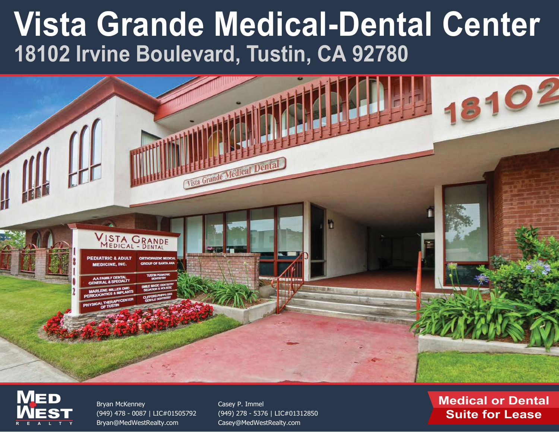



Bryan McKenney (949) [478 - 0087 | LIC#01505792](mailto:Bryan@MedWestRealty.com) Bryan@MedWestRealty.com

Casey P. Immel (949) 278 - 5376 | LIC#01312850 [Casey@MedWestRealty.com](mailto:Casey@MedWestRealty.com)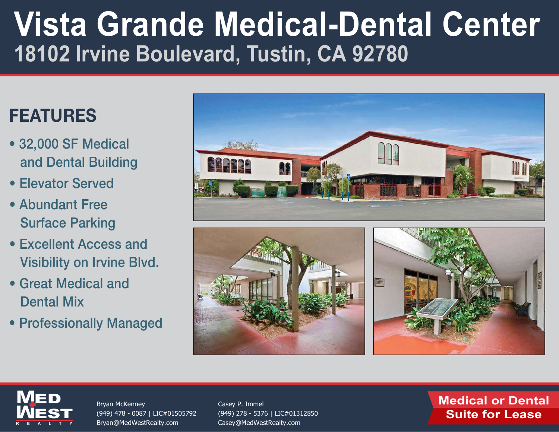## FEATURES

- 32,000 SF Medical and Dental Building
- Elevator Served
- Abundant Free Surface Parking
- Excellent Access and Visibility on Irvine Blvd.
- Great Medical and Dental Mix
- Professionally Managed









Bryan McKenney (949) [478 - 0087 | LIC#01505792](mailto:Bryan@MedWestRealty.com) Bryan@MedWestRealty.com

Casey P. Immel (949) [278 - 5376 | LIC#01312850](mailto:Casey@MedWestRealty.com) Casey@MedWestRealty.com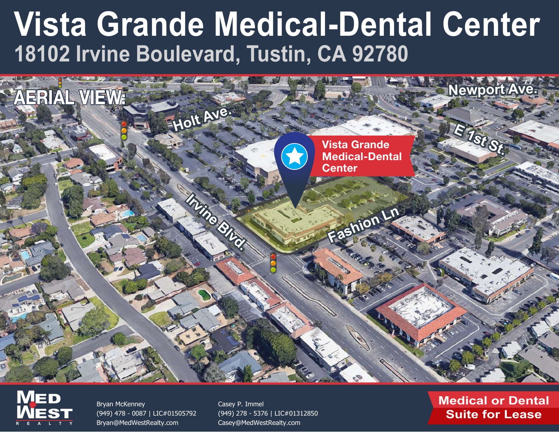



Bryan McKenney (949) [478 - 0087 | LIC#01505792](mailto:Bryan@MedWestRealty.com) Bryan@MedWestRealty.com

Casey P. Immel (949) [278 - 5376 | LIC#01312850](mailto:Casey@MedWestRealty.com) Casey@MedWestRealty.com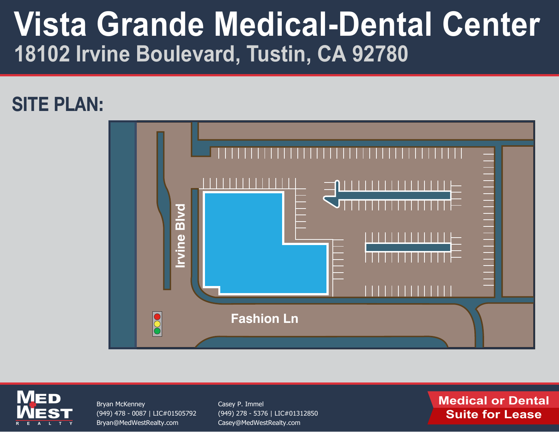## SITE PLAN:





Bryan McKenney (949) [478 - 0087 | LIC#01505792](mailto:Bryan@MedWestRealty.com) Bryan@MedWestRealty.com

Casey P. Immel (949) 278 - 5376 | LIC#01312850 [Casey@MedWestRealty.com](mailto:Casey@MedWestRealty.com)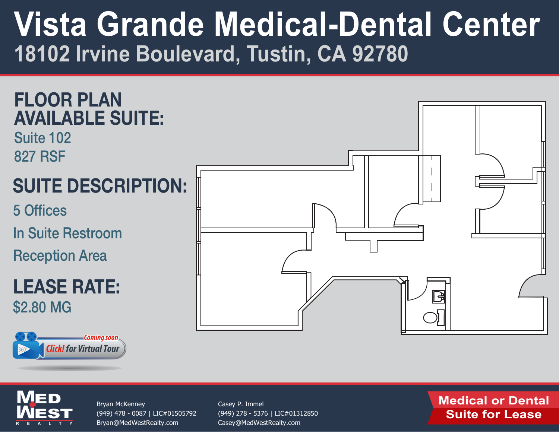



**M**

**M**

**EST** 

ED

**REALTY**

Bryan McKenney (949) [478 - 0087 | LIC#01505792](mailto:Bryan@MedWestRealty.com) Bryan@MedWestRealty.com

Casey P. Immel (949) 278 - 5376 | LIC#01312850 [Casey@MedWestRealty.com](mailto:Casey@MedWestRealty.com)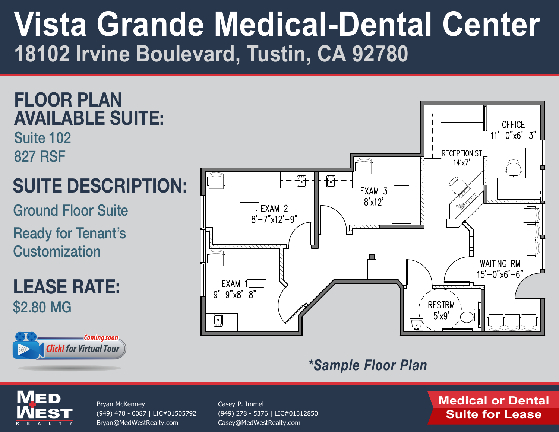### FLOOR PLAN AVAILABLE SUITE:

Suite 102 827 RSF

## SUITE DESCRIPTION:

Ground Floor Suite

Ready for Tenant's **Customization** 

LEASE RATE: \$2.80 MG





### *\*Sample Floor Plan*



Bryan McKenney (949) [478 - 0087 | LIC#01505792](mailto:Bryan@MedWestRealty.com) Bryan@MedWestRealty.com

Casey P. Immel (949) 278 - 5376 | LIC#01312850 [Casey@MedWestRealty.com](mailto:Casey@MedWestRealty.com)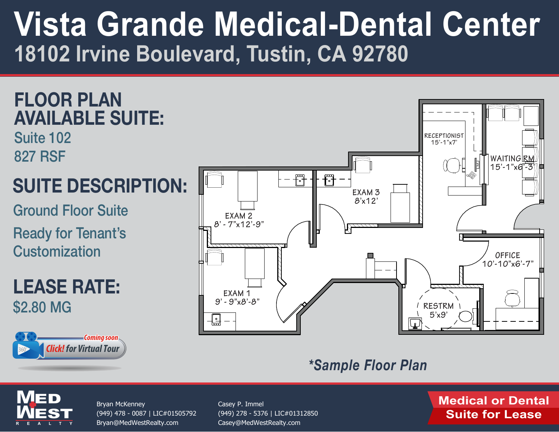### FLOOR PLAN AVAILABLE SUITE:

Suite 102 827 RSF

## SUITE DESCRIPTION:

Ground Floor Suite

Ready for Tenant's **Customization** 

LEASE RATE: \$2.80 MG





#### *\*Sample Floor Plan*



Bryan McKenney (949) [478 - 0087 | LIC#01505792](mailto:Bryan@MedWestRealty.com) Bryan@MedWestRealty.com

Casey P. Immel (949) 278 - 5376 | LIC#01312850 [Casey@MedWestRealty.com](mailto:Casey@MedWestRealty.com)